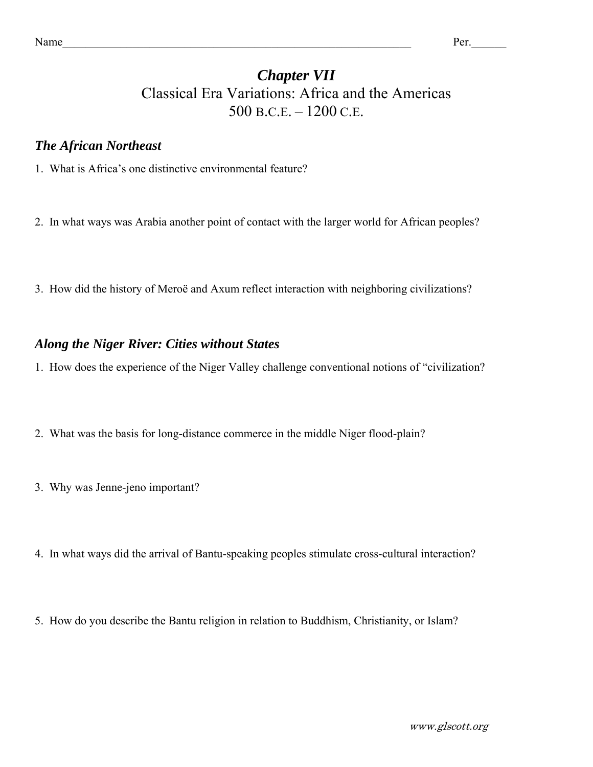# *Chapter VII*  Classical Era Variations: Africa and the Americas 500 B.C.E. – 1200 C.E.

### *The African Northeast*

- 1. What is Africa's one distinctive environmental feature?
- 2. In what ways was Arabia another point of contact with the larger world for African peoples?
- 3. How did the history of Meroë and Axum reflect interaction with neighboring civilizations?

#### *Along the Niger River: Cities without States*

- 1. How does the experience of the Niger Valley challenge conventional notions of "civilization?
- 2. What was the basis for long-distance commerce in the middle Niger flood-plain?
- 3. Why was Jenne-jeno important?
- 4. In what ways did the arrival of Bantu-speaking peoples stimulate cross-cultural interaction?
- 5. How do you describe the Bantu religion in relation to Buddhism, Christianity, or Islam?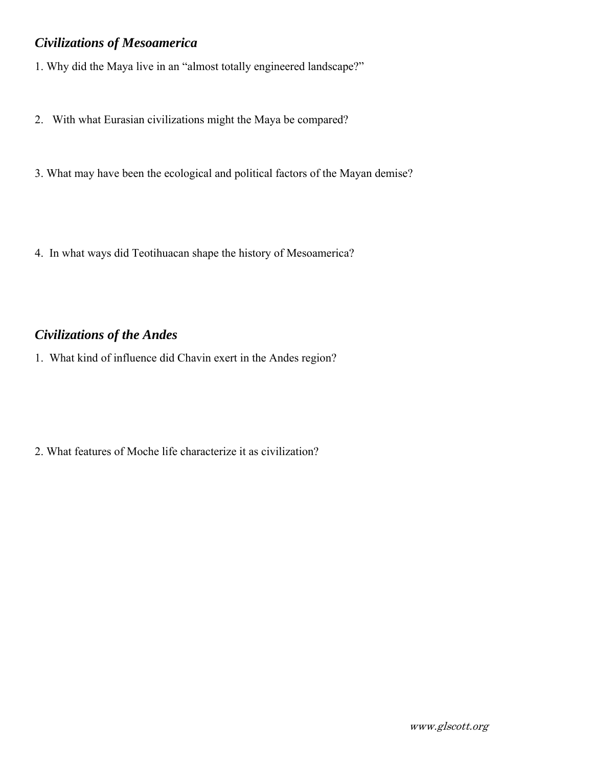## *Civilizations of Mesoamerica*

1. Why did the Maya live in an "almost totally engineered landscape?"

- 2. With what Eurasian civilizations might the Maya be compared?
- 3. What may have been the ecological and political factors of the Mayan demise?
- 4. In what ways did Teotihuacan shape the history of Mesoamerica?

# *Civilizations of the Andes*

1. What kind of influence did Chavin exert in the Andes region?

2. What features of Moche life characterize it as civilization?